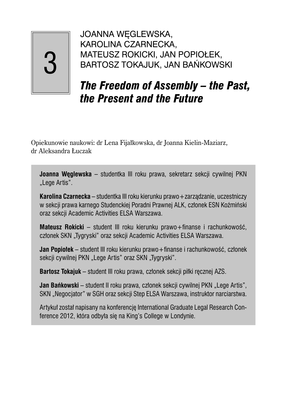# 3

JOANNA WĘGLEWSKA, KAROLINA CZARNECKA, MATEUSZ ROKICKI, JAN POPIOŁEK, BARTOSZ TOKAJUK, JAN BAŃKOWSKI

## *The Freedom of Assembly – the Past, the Present and the Future*

Opiekunowie naukowi: dr Lena Fijałkowska, dr Joanna Kielin-Maziarz, dr Aleksandra Łuczak

**Joanna Węglewska** – studentka III roku prawa, sekretarz sekcji cywilnej PKN "Lege Artis".

**Karolina Czarnecka** – studentka III roku kierunku prawo+zarządzanie, uczestniczy w sekcji prawa karnego Studenckiej Poradni Prawnej ALK, członek ESN Koźmiński oraz sekcji Academic Activities ELSA Warszawa.

Mateusz Rokicki – student III roku kierunku prawo+finanse i rachunkowość, członek SKN "Tygryski" oraz sekcji Academic Activities ELSA Warszawa.

**Jan Popiołek** – student III roku kierunku prawo+finanse i rachunkowość, członek sekcji cywilnej PKN "Lege Artis" oraz SKN "Tygryski".

**Bartosz Tokajuk** – student III roku prawa, członek sekcji piłki ręcznej AZS.

**Jan Bańkowski** – student II roku prawa, członek sekcji cywilnej PKN "Lege Artis", SKN "Negocjator" w SGH oraz sekcji Step ELSA Warszawa, instruktor narciarstwa.

Artykuł został napisany na konferencję International Graduate Legal Research Conference 2012, która odbyła się na King's College w Londynie.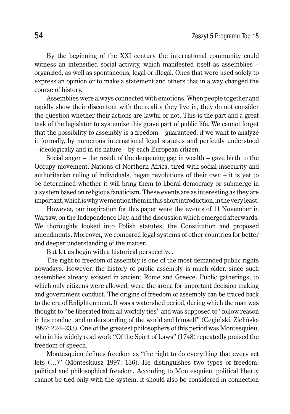By the beginning of the XXI century the international community could witness an intensified social activity, which manifested itself as assemblies – organized, as well as spontaneous, legal or illegal. Ones that were used solely to express an opinion or to make a statement and others that in a way changed the course of history.

Assemblies were always connected with emotions. When people together and rapidly show their discontent with the reality they live in, they do not consider the question whether their actions are lawful or not. This is the part and a great task of the legislator to systemize this grave part of public life. We cannot forget that the possibility to assembly is a freedom – guaranteed, if we want to analyze it formally, by numerous international legal statutes and perfectly understood – ideologically and in its nature – by each European citizen.

Social anger – the result of the deepening gap in wealth – gave birth to the Occupy movement. Nations of Northern Africa, tired with social insecurity and authoritarian ruling of individuals, began revolutions of their own – it is yet to be determined whether it will bring them to liberal democracy or submerge in a system based on religious fanaticism. These events are as interesting as they are important, which is why we mention them in this short introduction, in the very least.

However, our inspiration for this paper were the events of 11 November in Warsaw, on the Independence Day, and the discussion which emerged afterwards. We thoroughly looked into Polish statutes, the Constitution and proposed amendments. Moreover, we compared legal systems of other countries for better and deeper understanding of the matter.

But let us begin with a historical perspective.

The right to freedom of assembly is one of the most demanded public rights nowadays. However, the history of public assembly is much older, since such assemblies already existed in ancient Rome and Greece. Public gatherings, to which only citizens were allowed, were the arena for important decision making and government conduct. The origins of freedom of assembly can be traced back to the era of Enlightenment. It was a watershed period, during which the man was thought to "be liberated from all worldly ties" and was supposed to "follow reason in his conduct and understanding of the world and himself" (Cegielski, Zielińska 1997: 224–233). One of the greatest philosophers of this period was Montesquieu, who in his widely read work "Of the Spirit of Laws" (1748) repeatedly praised the freedom of speech.

Montesquieu defines freedom as "the right to do everything that every act lets (…)" (Monteskiusz 1997: 136). He distinguishes two types of freedom: political and philosophical freedom. According to Montesquieu, political liberty cannot be tied only with the system, it should also be considered in connection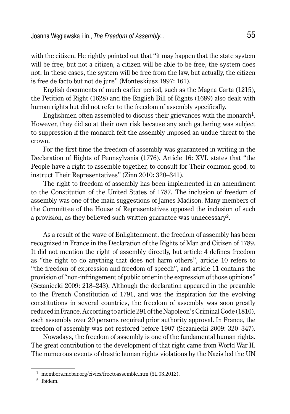with the citizen. He rightly pointed out that "it may happen that the state system will be free, but not a citizen, a citizen will be able to be free, the system does not. In these cases, the system will be free from the law, but actually, the citizen is free de facto but not de jure" (Monteskiusz 1997: 161).

English documents of much earlier period, such as the Magna Carta (1215), the Petition of Right (1628) and the English Bill of Rights (1689) also dealt with human rights but did not refer to the freedom of assembly specifically.

Englishmen often assembled to discuss their grievances with the monarch<sup>1</sup>. However, they did so at their own risk because any such gathering was subject to suppression if the monarch felt the assembly imposed an undue threat to the crown.

For the first time the freedom of assembly was guaranteed in writing in the Declaration of Rights of Pennsylvania (1776). Article 16: XVI. states that "the People have a right to assemble together, to consult for Their common good, to instruct Their Representatives" (Zinn 2010: 320–341).

The right to freedom of assembly has been implemented in an amendment to the Constitution of the United States of 1787. The inclusion of freedom of assembly was one of the main suggestions of James Madison. Many members of the Committee of the House of Representatives opposed the inclusion of such a provision, as they believed such written guarantee was unnecessary<sup>2</sup>.

As a result of the wave of Enlightenment, the freedom of assembly has been recognized in France in the Declaration of the Rights of Man and Citizen of 1789. It did not mention the right of assembly directly, but article 4 defines freedom as "the right to do anything that does not harm others", article 10 refers to "the freedom of expression and freedom of speech", and article 11 contains the provision of "non-infringement of public order in the expression of those opinions" (Sczaniecki 2009: 218–243). Although the declaration appeared in the preamble to the French Constitution of 1791, and was the inspiration for the evolving constitutions in several countries, the freedom of assembly was soon greatly reduced in France. According to article 291 of the Napoleon's Criminal Code (1810), each assembly over 20 persons required prior authority approval. In France, the freedom of assembly was not restored before 1907 (Sczaniecki 2009: 320–347).

Nowadays, the freedom of assembly is one of the fundamental human rights. The great contribution to the development of that right came from World War II. The numerous events of drastic human rights violations by the Nazis led the UN

<sup>1</sup> members.mobar.org/civics/freetoassemble.htm (31.03.2012).

<sup>2</sup> Ibidem.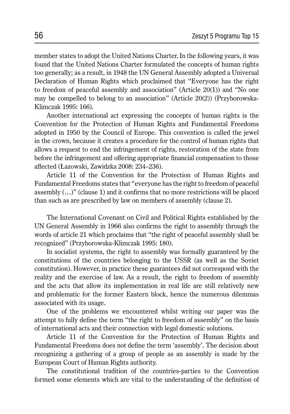member states to adopt the United Nations Charter. In the following years, it was found that the United Nations Charter formulated the concepts of human rights too generally; as a result, in 1948 the UN General Assembly adopted a Universal Declaration of Human Rights which proclaimed that "Everyone has the right to freedom of peaceful assembly and association" (Article 20(1)) and "No one may be compelled to belong to an association" (Article 20(2)) (Przyborowska-Klimczak 1995: 166).

Another international act expressing the concepts of human rights is the Convention for the Protection of Human Rights and Fundamental Freedoms adopted in 1950 by the Council of Europe. This convention is called the jewel in the crown, because it creates a procedure for the control of human rights that allows a request to end the infringement of rights, restoration of the state from before the infringement and offering appropriate financial compensation to those affected (Łazowski, Zawidzka 2008: 234–236).

Article 11 of the Convention for the Protection of Human Rights and Fundamental Freedoms states that "everyone has the right to freedom of peaceful assembly (…)" (clause 1) and it confirms that no more restrictions will be placed than such as are prescribed by law on members of assembly (clause 2).

The International Covenant on Civil and Political Rights established by the UN General Assembly in 1966 also confirms the right to assembly through the words of article 21 which proclaims that "the right of peaceful assembly shall be recognized" (Przyborowska-Klimczak 1995: 180).

In socialist systems, the right to assembly was formally guaranteed by the constitutions of the countries belonging to the USSR (as well as the Soviet constitution). However, in practice these guarantees did not correspond with the reality and the exercise of law. As a result, the right to freedom of assembly and the acts that allow its implementation in real life are still relatively new and problematic for the former Eastern block, hence the numerous dilemmas associated with its usage.

One of the problems we encountered whilst writing our paper was the attempt to fully define the term "the right to freedom of assembly" on the basis of international acts and their connection with legal domestic solutions.

Article 11 of the Convention for the Protection of Human Rights and Fundamental Freedoms does not define the term 'assembly'. The decision about recognizing a gathering of a group of people as an assembly is made by the European Court of Human Rights authority.

The constitutional tradition of the countries-parties to the Convention formed some elements which are vital to the understanding of the definition of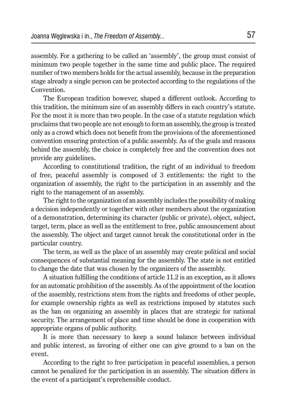assembly. For a gathering to be called an 'assembly', the group must consist of minimum two people together in the same time and public place. The required number of two members holds for the actual assembly, because in the preparation stage already a single person can be protected according to the regulations of the Convention.

The European tradition however, shaped a different outlook. According to this tradition, the minimum size of an assembly differs in each country's statute. For the most it is more than two people. In the case of a statute regulation which proclaims that two people are not enough to form an assembly, the group is treated only as a crowd which does not benefit from the provisions of the aforementioned convention ensuring protection of a public assembly. As of the goals and reasons behind the assembly, the choice is completely free and the convention does not provide any guidelines.

According to constitutional tradition, the right of an individual to freedom of free, peaceful assembly is composed of 3 entitlements: the right to the organization of assembly, the right to the participation in an assembly and the right to the management of an assembly.

The right to the organization of an assembly includes the possibility of making a decision independently or together with other members about the organization of a demonstration, determining its character (public or private), object, subject, target, term, place as well as the entitlement to free, public announcement about the assembly. The object and target cannot break the constitutional order in the particular country.

The term, as well as the place of an assembly may create political and social consequences of substantial meaning for the assembly. The state is not entitled to change the date that was chosen by the organizers of the assembly.

A situation fulfilling the conditions of article 11.2 is an exception, as it allows for an automatic prohibition of the assembly. As of the appointment of the location of the assembly, restrictions stem from the rights and freedoms of other people, for example ownership rights as well as restrictions imposed by statutes such as the ban on organizing an assembly in places that are strategic for national security. The arrangement of place and time should be done in cooperation with appropriate organs of public authority.

It is more than necessary to keep a sound balance between individual and public interest, as favoring of either one can give ground to a ban on the event.

According to the right to free participation in peaceful assemblies, a person cannot be penalized for the participation in an assembly. The situation differs in the event of a participant's reprehensible conduct.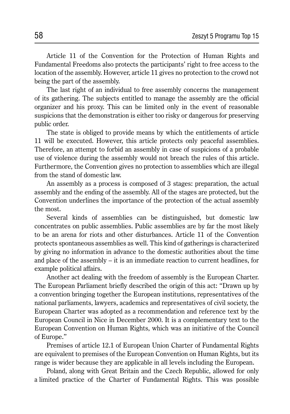Article 11 of the Convention for the Protection of Human Rights and Fundamental Freedoms also protects the participants' right to free access to the location of the assembly. However, article 11 gives no protection to the crowd not being the part of the assembly.

The last right of an individual to free assembly concerns the management of its gathering. The subjects entitled to manage the assembly are the official organizer and his proxy. This can be limited only in the event of reasonable suspicions that the demonstration is either too risky or dangerous for preserving public order.

The state is obliged to provide means by which the entitlements of article 11 will be executed. However, this article protects only peaceful assemblies. Therefore, an attempt to forbid an assembly in case of suspicions of a probable use of violence during the assembly would not breach the rules of this article. Furthermore, the Convention gives no protection to assemblies which are illegal from the stand of domestic law.

An assembly as a process is composed of 3 stages: preparation, the actual assembly and the ending of the assembly. All of the stages are protected, but the Convention underlines the importance of the protection of the actual assembly the most.

Several kinds of assemblies can be distinguished, but domestic law concentrates on public assemblies. Public assemblies are by far the most likely to be an arena for riots and other disturbances. Article 11 of the Convention protects spontaneous assemblies as well. This kind of gatherings is characterized by giving no information in advance to the domestic authorities about the time and place of the assembly – it is an immediate reaction to current headlines, for example political affairs.

Another act dealing with the freedom of assembly is the European Charter. The European Parliament briefly described the origin of this act: "Drawn up by a convention bringing together the European institutions, representatives of the national parliaments, lawyers, academics and representatives of civil society, the European Charter was adopted as a recommendation and reference text by the European Council in Nice in December 2000. It is a complementary text to the European Convention on Human Rights, which was an initiative of the Council of Europe."

Premises of article 12.1 of European Union Charter of Fundamental Rights are equivalent to premises of the European Convention on Human Rights, but its range is wider because they are applicable in all levels including the European.

Poland, along with Great Britain and the Czech Republic, allowed for only a limited practice of the Charter of Fundamental Rights. This was possible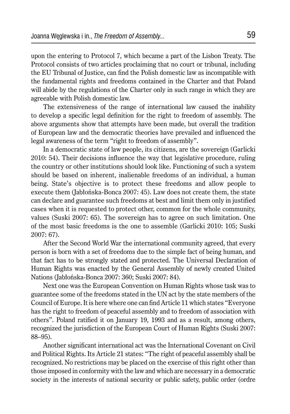upon the entering to Protocol 7, which became a part of the Lisbon Treaty. The Protocol consists of two articles proclaiming that no court or tribunal, including the EU Tribunal of Justice, can find the Polish domestic law as incompatible with the fundamental rights and freedoms contained in the Charter and that Poland will abide by the regulations of the Charter only in such range in which they are agreeable with Polish domestic law.

The extensiveness of the range of international law caused the inability to develop a specific legal definition for the right to freedom of assembly. The above arguments show that attempts have been made, but overall the tradition of European law and the democratic theories have prevailed and influenced the legal awareness of the term "right to freedom of assembly".

In a democratic state of law people, its citizens, are the sovereign (Garlicki 2010: 54). Their decisions influence the way that legislative procedure, ruling the country or other institutions should look like. Functioning of such a system should be based on inherent, inalienable freedoms of an individual, a human being. State's objective is to protect these freedoms and allow people to execute them (Jabłońska-Bonca 2007: 45). Law does not create them, the state can declare and guarantee such freedoms at best and limit them only in justified cases when it is requested to protect other, common for the whole community, values (Suski 2007: 65). The sovereign has to agree on such limitation. One of the most basic freedoms is the one to assemble (Garlicki 2010: 105; Suski 2007: 67).

After the Second World War the international community agreed, that every person is born with a set of freedoms due to the simple fact of being human, and that fact has to be strongly stated and protected. The Universal Declaration of Human Rights was enacted by the General Assembly of newly created United Nations (Jabłońska-Bonca 2007: 360; Suski 2007: 84).

Next one was the European Convention on Human Rights whose task was to guarantee some of the freedoms stated in the UN act by the state members of the Council of Europe. It is here where one can find Article 11 which states "Everyone has the right to freedom of peaceful assembly and to freedom of association with others". Poland ratified it on January 19, 1993 and as a result, among others, recognized the jurisdiction of the European Court of Human Rights (Suski 2007: 88–95).

Another significant international act was the International Covenant on Civil and Political Rights. Its Article 21 states: "The right of peaceful assembly shall be recognized. No restrictions may be placed on the exercise of this right other than those imposed in conformity with the law and which are necessary in a democratic society in the interests of national security or public safety, public order (ordre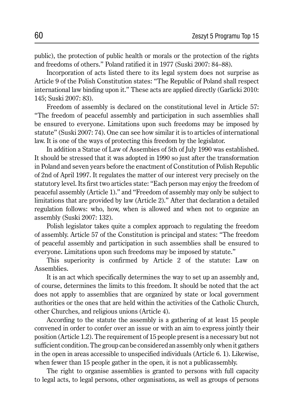public), the protection of public health or morals or the protection of the rights and freedoms of others." Poland ratified it in 1977 (Suski 2007: 84–88).

Incorporation of acts listed there to its legal system does not surprise as Article 9 of the Polish Constitution states: "The Republic of Poland shall respect international law binding upon it." These acts are applied directly (Garlicki 2010: 145; Suski 2007: 83).

Freedom of assembly is declared on the constitutional level in Article 57: "The freedom of peaceful assembly and participation in such assemblies shall be ensured to everyone. Limitations upon such freedoms may be imposed by statute" (Suski 2007: 74). One can see how similar it is to articles of international law. It is one of the ways of protecting this freedom by the legislator.

In addition a Statue of Law of Assembies of 5th of July 1990 was established. It should be stressed that it was adopted in 1990 so just after the transformation in Poland and seven years before the enactment of Constitution of Polish Republic of 2nd of April 1997. It regulates the matter of our interest very precisely on the statutory level. Its first two articles state: "Each person may enjoy the freedom of peaceful assembly (Article 1)." and "Freedom of assembly may only be subject to limitations that are provided by law (Article 2)." After that declaration a detailed regulation follows: who, how, when is allowed and when not to organize an assembly (Suski 2007: 132).

Polish legislator takes quite a complex approach to regulating the freedom of assembly. Article 57 of the Constitution is principal and states: "The freedom of peaceful assembly and participation in such assemblies shall be ensured to everyone. Limitations upon such freedoms may be imposed by statute."

This superiority is confirmed by Article 2 of the statute: Law on Assemblies.

It is an act which specifically determines the way to set up an assembly and, of course, determines the limits to this freedom. It should be noted that the act does not apply to assemblies that are organized by state or local government authorities or the ones that are held within the activities of the Catholic Church, other Churches, and religious unions (Article 4).

According to the statute the assembly is a gathering of at least 15 people convened in order to confer over an issue or with an aim to express jointly their position (Article 1.2). The requirement of 15 people present is a necessary but not sufficient condition. The group can be considered an assembly only when it gathers in the open in areas accessible to unspecified individuals (Article 6. 1). Likewise, when fewer than 15 people gather in the open, it is not a publicassembly.

The right to organise assemblies is granted to persons with full capacity to legal acts, to legal persons, other organisations, as well as groups of persons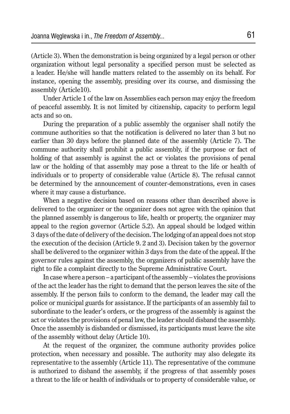(Article 3). When the demonstration is being organized by a legal person or other organization without legal personality a specified person must be selected as a leader. He/she will handle matters related to the assembly on its behalf. For instance, opening the assembly, presiding over its course, and dismissing the assembly (Article10).

Under Article 1 of the law on Assemblies each person may enjoy the freedom of peaceful assembly. It is not limited by citizenship, capacity to perform legal acts and so on.

During the preparation of a public assembly the organiser shall notify the commune authorities so that the notification is delivered no later than 3 but no earlier than 30 days before the planned date of the assembly (Article 7). The commune authority shall prohibit a public assembly, if the purpose or fact of holding of that assembly is against the act or violates the provisions of penal law or the holding of that assembly may pose a threat to the life or health of individuals or to property of considerable value (Article 8). The refusal cannot be determined by the announcement of counter-demonstrations, even in cases where it may cause a disturbance.

When a negative decision based on reasons other than described above is delivered to the organizer or the organizer does not agree with the opinion that the planned assembly is dangerous to life, health or property, the organizer may appeal to the region governor (Article 5.2). An appeal should be lodged within 3 days of the date of delivery of the decision. The lodging of an appeal does not stop the execution of the decision (Article 9. 2 and 3). Decision taken by the governor shall be delivered to the organizer within 3 days from the date of the appeal. If the governor rules against the assembly, the organizers of public assembly have the right to file a complaint directly to the Supreme Administrative Court.

In case where a person – a participant of the assembly – violates the provisions of the act the leader has the right to demand that the person leaves the site of the assembly. If the person fails to conform to the demand, the leader may call the police or municipal guards for assistance. If the participants of an assembly fail to subordinate to the leader's orders, or the progress of the assembly is against the act or violates the provisions of penal law, the leader should disband the assembly. Once the assembly is disbanded or dismissed, its participants must leave the site of the assembly without delay (Article 10).

At the request of the organizer, the commune authority provides police protection, when necessary and possible. The authority may also delegate its representative to the assembly (Article 11). The representative of the commune is authorized to disband the assembly, if the progress of that assembly poses a threat to the life or health of individuals or to property of considerable value, or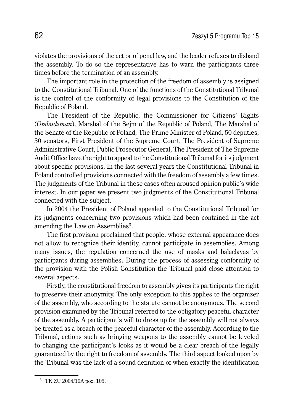violates the provisions of the act or of penal law, and the leader refuses to disband the assembly. To do so the representative has to warn the participants three times before the termination of an assembly.

The important role in the protection of the freedom of assembly is assigned to the Constitutional Tribunal. One of the functions of the Constitutional Tribunal is the control of the conformity of legal provisions to the Constitution of the Republic of Poland.

The President of the Republic, the Commissioner for Citizens' Rights (*Ombudsman*), Marshal of the Sejm of the Republic of Poland, The Marshal of the Senate of the Republic of Poland, The Prime Minister of Poland, 50 deputies, 30 senators, First President of the Supreme Court, The President of Supreme Administrative Court, Public Prosecutor General, The President of The Supreme Audit Office have the right to appeal to the Constitutional Tribunal for its judgment about specific provisions. In the last several years the Constitutional Tribunal in Poland controlled provisions connected with the freedom of assembly a few times. The judgments of the Tribunal in these cases often aroused opinion public's wide interest. In our paper we present two judgments of the Constitutional Tribunal connected with the subject.

In 2004 the President of Poland appealed to the Constitutional Tribunal for its judgments concerning two provisions which had been contained in the act amending the Law on Assemblies3.

The first provision proclaimed that people, whose external appearance does not allow to recognize their identity, cannot participate in assemblies. Among many issues, the regulation concerned the use of masks and balaclavas by participants during assemblies**.** During the process of assessing conformity of the provision with the Polish Constitution the Tribunal paid close attention to several aspects.

Firstly, the constitutional freedom to assembly gives its participants the right to preserve their anonymity. The only exception to this applies to the organizer of the assembly, who according to the statute cannot be anonymous. The second provision examined by the Tribunal referred to the obligatory peaceful character of the assembly. A participant's will to dress up for the assembly will not always be treated as a breach of the peaceful character of the assembly. According to the Tribunal, actions such as bringing weapons to the assembly cannot be leveled to changing the participant's looks as it would be a clear breach of the legally guaranteed by the right to freedom of assembly. The third aspect looked upon by the Tribunal was the lack of a sound definition of when exactly the identification

<sup>3</sup> TK ZU 2004/10A poz. 105.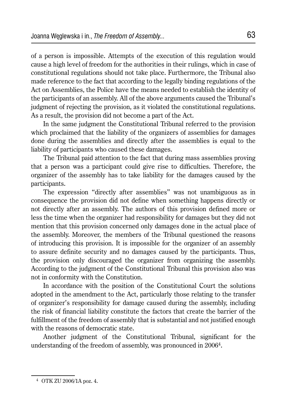of a person is impossible. Attempts of the execution of this regulation would cause a high level of freedom for the authorities in their rulings, which in case of constitutional regulations should not take place. Furthermore, the Tribunal also made reference to the fact that according to the legally binding regulations of the Act on Assemblies, the Police have the means needed to establish the identity of the participants of an assembly. All of the above arguments caused the Tribunal's judgment of rejecting the provision, as it violated the constitutional regulations. As a result, the provision did not become a part of the Act.

In the same judgment the Constitutional Tribunal referred to the provision which proclaimed that the liability of the organizers of assemblies for damages done during the assemblies and directly after the assemblies is equal to the liability of participants who caused these damages.

The Tribunal paid attention to the fact that during mass assemblies proving that a person was a participant could give rise to difficulties. Therefore, the organizer of the assembly has to take liability for the damages caused by the participants.

The expression "directly after assemblies" was not unambiguous as in consequence the provision did not define when something happens directly or not directly after an assembly. The authors of this provision defined more or less the time when the organizer had responsibility for damages but they did not mention that this provision concerned only damages done in the actual place of the assembly. Moreover, the members of the Tribunal questioned the reasons of introducing this provision. It is impossible for the organizer of an assembly to assure definite security and no damages caused by the participants. Thus, the provision only discouraged the organizer from organizing the assembly. According to the judgment of the Constitutional Tribunal this provision also was not in conformity with the Constitution.

In accordance with the position of the Constitutional Court the solutions adopted in the amendment to the Act, particularly those relating to the transfer of organizer's responsibility for damage caused during the assembly, including the risk of financial liability constitute the factors that create the barrier of the fulfillment of the freedom of assembly that is substantial and not justified enough with the reasons of democratic state.

Another judgment of the Constitutional Tribunal, significant for the understanding of the freedom of assembly, was pronounced in 20064.

<sup>4</sup> OTK ZU 2006/1A poz. 4.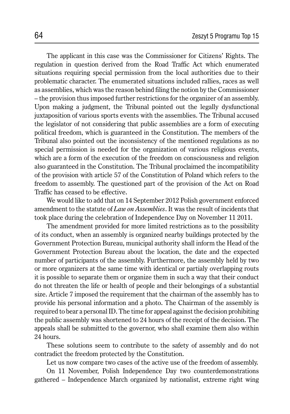The applicant in this case was the Commissioner for Citizens' Rights. The regulation in question derived from the Road Traffic Act which enumerated situations requiring special permission from the local authorities due to their problematic character. The enumerated situations included rallies, races as well as assemblies, which was the reason behind filing the notion by the Commissioner – the provision thus imposed further restrictions for the organizer of an assembly. Upon making a judgment, the Tribunal pointed out the legally dysfunctional juxtaposition of various sports events with the assemblies. The Tribunal accused the legislator of not considering that public assemblies are a form of executing political freedom, which is guaranteed in the Constitution. The members of the Tribunal also pointed out the inconsistency of the mentioned regulations as no special permission is needed for the organization of various religious events, which are a form of the execution of the freedom on consciousness and religion also guaranteed in the Constitution. The Tribunal proclaimed the incompatibility of the provision with article 57 of the Constitution of Poland which refers to the freedom to assembly. The questioned part of the provision of the Act on Road Traffic has ceased to be effective.

We would like to add that on 14 September 2012 Polish government enforced amendment to the statute of *Law on Assemblies*. It was the result of incidents that took place during the celebration of Independence Day on November 11 2011.

The amendment provided for more limited restrictions as to the possibility of its conduct, when an assembly is organized nearby buildings protected by the Government Protection Bureau, municipal authority shall inform the Head of the Government Protection Bureau about the location, the date and the expected number of participants of the assembly. Furthermore, the assembly held by two or more organizers at the same time with identical or partialy overlapping routs it is possible to separate them or organize them in such a way that their conduct do not threaten the life or health of people and their belongings of a substantial size. Article 7 imposed the requirement that the chairman of the assembly has to provide his personal information and a photo. The Chairman of the assembly is required to bear a personal ID. The time for appeal against the decision prohibiting the public assembly was shortened to 24 hours of the receipt of the decision. The appeals shall be submitted to the governor, who shall examine them also within 24 hours.

These solutions seem to contribute to the safety of assembly and do not contradict the freedom protected by the Constitution.

Let us now compare two cases of the active use of the freedom of assembly.

On 11 November, Polish Independence Day two counterdemonstrations gathered – Independence March organized by nationalist, extreme right wing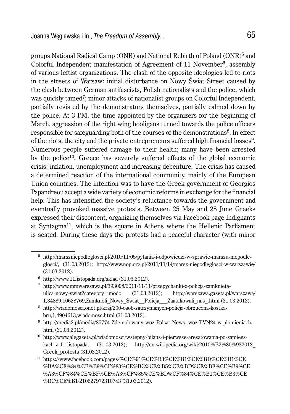groups National Radical Camp (ONR) and National Rebirth of Poland (ONR)5 and Colorful Independent manifestation of Agreement of 11 November<sup>6</sup>, assembly of various leftist organizations. The clash of the opposite ideologies led to riots in the streets of Warsaw: initial disturbance on Nowy Świat Street caused by the clash between German antifascists, Polish nationalists and the police, which was quickly tamed<sup>7</sup>; minor attacks of nationalist groups on Colorful Independent, partially resisted by the demonstrators themselves, partially calmed down by the police. At 3 PM, the time appointed by the organizers for the beginning of March, aggression of the right wing hooligans turned towards the police officers responsible for safeguarding both of the courses of the demonstrations<sup>8</sup>. In effect of the riots, the city and the private entrepreneurs suffered high financial losses<sup>9</sup>. Numerous people suffered damage to their health; many have been arrested by the police10. Greece has severely suffered effects of the global economic crisis: inflation, unemployment and increasing debenture. The crisis has caused a determined reaction of the international community, mainly of the European Union countries. The intention was to have the Greek government of Georgios Papandreou accept a wide variety of economic reforms in exchange for the financial help. This has intensified the society's reluctance towards the government and eventually provoked massive protests. Between 25 May and 28 June Greeks expressed their discontent, organizing themselves via Facebook page Indignants at Syntagma11, which is the square in Athens where the Hellenic Parliament is seated. During these days the protests had a peaceful character (with minor

 <sup>5</sup> http://marszniepodleglosci.pl/2010/11/05/pytania-i-odpowiedzi-w-sprawie-marszu-niepodleglosci/, (31.03.2012); http://www.nop.org.pl/2011/11/14/marsz-niepodleglosci-w-warszawie/ (31.03.2012).

 $6$  http://www.11listopada.org/sklad (31.03.2012).

 <sup>7</sup> http://www.mmwarszawa.pl/393098/2011/11/11/przepychanki-z-policja-zamknietaulica-nowy-swiat?category=modo (31.03.2012); http://warszawa.gazeta.pl/warszawa/ 1,34889,10628769,Zamkneli\_Nowy\_Swiat\_\_Policja\_\_\_Zaatakowali\_nas\_.html (31.03.2012).

 <sup>8</sup> http://wiadomosci.onet.pl/kraj/200-osob-zatrzymanych-policja-obrzucona-kostkabru,1,4904613,wiadomosc.html (31.03.2012).

 <sup>9</sup> http://media2.pl/media/85774-Zdemolowany-woz-Polsat-News,-woz-TVN24-w-plomieniach. html (31.03.2012).

<sup>10</sup> http://www.alegazeta.pl/wiadomosci/wstepny-bilans-i-pierwsze-aresztowania-po-zamieszkach-z-11-listopada, (31.03.2012); http://en.wikipedia.org/wiki/2010%E2%80%932012\_ Greek\_protests (31.03.2012).

<sup>11</sup> https://www.facebook.com/pages/%CE%91%CE%B3%CE%B1%CE%BD%CE%B1%CE %BA%CF%84%CE%B9%CF%83%CE%BC%CE%B5%CE%BD%CE%BF%CE%B9%CE %A3%CF%84%CE%BF%CE%A3%CF%85%CE%BD%CF%84%CE%B1%CE%B3%CE %BC%CE%B1/210627972310743 (31.03.2012).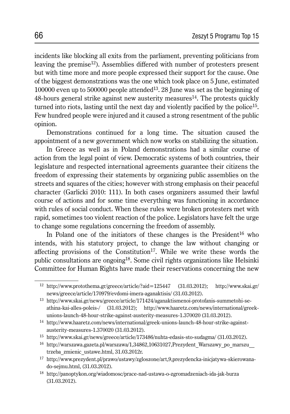incidents like blocking all exits from the parliament, preventing politicians from leaving the premise<sup>12</sup>). Assemblies differed with number of protesters present but with time more and more people expressed their support for the cause. One of the biggest demonstrations was the one which took place on 5 June, estimated 100000 even up to 500000 people attended13. 28 June was set as the beginning of  $48$ -hours general strike against new austerity measures<sup>14</sup>. The protests quickly turned into riots, lasting until the next day and violently pacified by the police15. Few hundred people were injured and it caused a strong resentment of the public opinion.

Demonstrations continued for a long time. The situation caused the appointment of a new government which now works on stabilizing the situation.

In Greece as well as in Poland demonstrations had a similar course of action from the legal point of view. Democratic systems of both countries, their legislature and respected international agreements guarantee their citizens the freedom of expressing their statements by organizing public assemblies on the streets and squares of the cities; however with strong emphasis on their peaceful character (Garlicki 2010: 111). In both cases organizers assumed their lawful course of actions and for some time everything was functioning in accordance with rules of social conduct. When these rules were broken protesters met with rapid, sometimes too violent reaction of the police. Legislators have felt the urge to change some regulations concerning the freedom of assembly.

In Poland one of the initiators of these changes is the President<sup>16</sup> who intends, with his statutory project, to change the law without changing or affecting provisions of the Constitution<sup>17</sup>. While we write these words the public consultations are ongoing18. Some civil rights organizations like Helsinki Committee for Human Rights have made their reservations concerning the new

<sup>12</sup> http://www.protothema.gr/greece/article/?aid=125447 (31.03.2012); http://www.skai.gr/ news/greece/article/170979/evdomi-imera-aganaktisis/ (31.03.2012).

<sup>13</sup> http://www.skai.gr/news/greece/article/171424/aganaktismenoi-protofanis-summetohi-seathina-kai-alles-poleis-/ (31.03.2012); http://www.haaretz.com/news/international/greekunions-launch-48-hour-strike-against-austerity-measures-1.370020 (31.03.2012).

<sup>14</sup> http://www.haaretz.com/news/international/greek-unions-launch-48-hour-strike-againstausterity-measures-1.370020 (31.03.2012).

<sup>15</sup> http://www.skai.gr/news/greece/article/173486/nuhta-edasis-sto-sudagma/ (31.03.2012).

<sup>16</sup> http://warszawa.gazeta.pl/warszawa/1,34862,10631027,Prezydent\_Warszawy\_po\_marszu\_\_ trzeba\_zmienic\_ustawe.html, 31.03.2012r.

<sup>17</sup> http://www.prezydent.pl/prawo/ustawy/zgloszone/art,9,prezydencka-inicjatywa-skierowanado-sejmu.html, (31.03.2012).

<sup>18</sup> http://panoptykon.org/wiadomosc/prace-nad-ustawa-o-zgromadzeniach-ida-jak-burza (31.03.2012).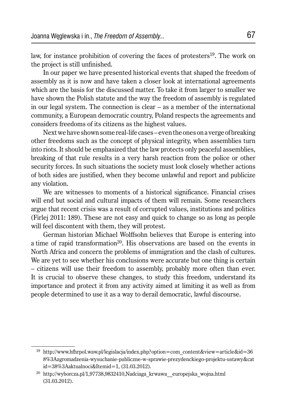law, for instance prohibition of covering the faces of protesters<sup>19</sup>. The work on the project is still unfinished.

In our paper we have presented historical events that shaped the freedom of assembly as it is now and have taken a closer look at international agreements which are the basis for the discussed matter. To take it from larger to smaller we have shown the Polish statute and the way the freedom of assembly is regulated in our legal system. The connection is clear – as a member of the international community, a European democratic country, Poland respects the agreements and considers freedoms of its citizens as the highest values.

Next we have shown some real-life cases – even the ones on a verge of breaking other freedoms such as the concept of physical integrity, when assemblies turn into riots. It should be emphasized that the law protects only peaceful assemblies, breaking of that rule results in a very harsh reaction from the police or other security forces. In such situations the society must look closely whether actions of both sides are justified, when they become unlawful and report and publicize any violation.

We are witnesses to moments of a historical significance. Financial crises will end but social and cultural impacts of them will remain. Some researchers argue that recent crisis was a result of corrupted values, institutions and politics (Firlej 2011: 189). These are not easy and quick to change so as long as people will feel discontent with them, they will protest.

German historian Michael Wolffsohn believes that Europe is entering into a time of rapid transformation<sup>20</sup>. His observations are based on the events in North Africa and concern the problems of immigration and the clash of cultures. We are yet to see whether his conclusions were accurate but one thing is certain – citizens will use their freedom to assembly, probably more often than ever. It is crucial to observe these changes, to study this freedom, understand its importance and protect it from any activity aimed at limiting it as well as from people determined to use it as a way to derail democratic, lawful discourse.

<sup>&</sup>lt;sup>19</sup> http://www.hfhrpol.waw.pl/legislacja/index.php?option=com\_content&view=article&id=36 8%3Azgromadzenia-wysuchanie-publiczne-w-sprawie-prezydenckiego-projektu-ustawy&cat id=38%3Aaktualnoci&Itemid=1, (31.03.2012).

<sup>&</sup>lt;sup>20</sup> http://wyborcza.pl/1,97738,9832410,Nadciaga krwawa europejska wojna.html (31.03.2012).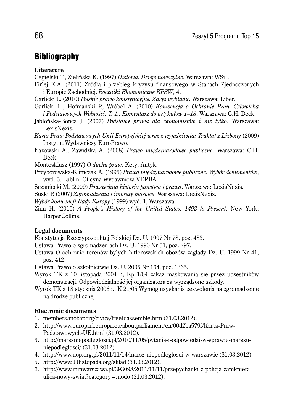### Bibliography

#### **Literature**

- Cegielski T., Zielińska K. (1997) *Historia. Dzieje nowożytne*. Warszawa: WSiP.
- Firlej K.A. (2011) Źródła i przebieg kryzysu finansowego w Stanach Zjednoczonych i Europie Zachodniej. *Roczniki Ekonomiczne KPSW*, 4.
- Garlicki L. (2010) *Polskie prawo konstytucyjne. Zarys wykładu*. Warszawa: Liber.
- Garlicki L., Hofmański P., Wróbel A. (2010) *Konwencja o Ochronie Praw Człowieka i Podstawowych Wolności. T. 1., Komentarz do artykułów 1–18*. Warszawa: C.H. Beck.
- Jabłońska-Bonca J. (2007) *Podstawy prawa dla ekonomistów i nie tylko*. Warszawa: LexisNexis.
- *Karta Praw Podstawowych Unii Europejskiej wraz z wyjaśnienia: Traktat z Lizbony* (2009) Instytut Wydawniczy EuroPrawo.
- Łazowski A., Zawidzka A. (2008) *Prawo międzynarodowe publiczne*. Warszawa: C.H. Beck.
- Monteskiusz (1997) *O duchu praw*. Kęty: Antyk.
- Przyborowska-Klimczak A. (1995) *Prawo międzynarodowe publiczne. Wybór dokumentów*, wyd. 5. Lublin: Oficyna Wydawnicza VERBA.
- Sczaniecki M. (2009) *Powszechna historia państwa i prawa*. Warszawa: LexisNexis.
- Suski P. (2007) *Zgromadzenia i imprezy masowe*. Warszawa: LexisNexis.
- *Wybór konwencji Rady Europy* (1999) wyd. 1, Warszawa.
- Zinn H. (2010) *A People's History of the United States: 1492 to Present*. New York: HarperCollins.

#### **Legal documents**

- Konstytucja Rzeczypospolitej Polskiej Dz. U. 1997 Nr 78, poz. 483.
- Ustawa Prawo o zgromadzeniach Dz. U. 1990 Nr 51, poz. 297.
- Ustawa O ochronie terenów byłych hitlerowskich obozów zagłady Dz. U. 1999 Nr 41, poz. 412.
- Ustawa Prawo o szkolnictwie Dz. U. 2005 Nr 164, poz. 1365.
- Wyrok TK z 10 listopada 2004 r., Kp 1/04 zakaz maskowania się przez uczestników demonstracji. Odpowiedzialność jej organizatora za wyrządzone szkody.
- Wyrok TK z 18 stycznia 2006 r., K 21/05 Wymóg uzyskania zezwolenia na zgromadzenie na drodze publicznej.

#### **Electronic documents**

- 1. members.mobar.org/civics/freetoassemble.htm (31.03.2012).
- 2. http://www.europarl.europa.eu/aboutparliament/en/00d2ba579f/Karta-Praw-Podstawowych-UE.html (31.03.2012).
- 3. http://marszniepodleglosci.pl/2010/11/05/pytania-i-odpowiedzi-w-sprawie-marszuniepodleglosci/ (31.03.2012).
- 4. http://www.nop.org.pl/2011/11/14/marsz-niepodleglosci-w-warszawie (31.03.2012).
- 5. http://www.11listopada.org/sklad (31.03.2012).
- 6. http://www.mmwarszawa.pl/393098/2011/11/11/przepychanki-z-policja-zamknietaulica-nowy-swiat?category=modo (31.03.2012).